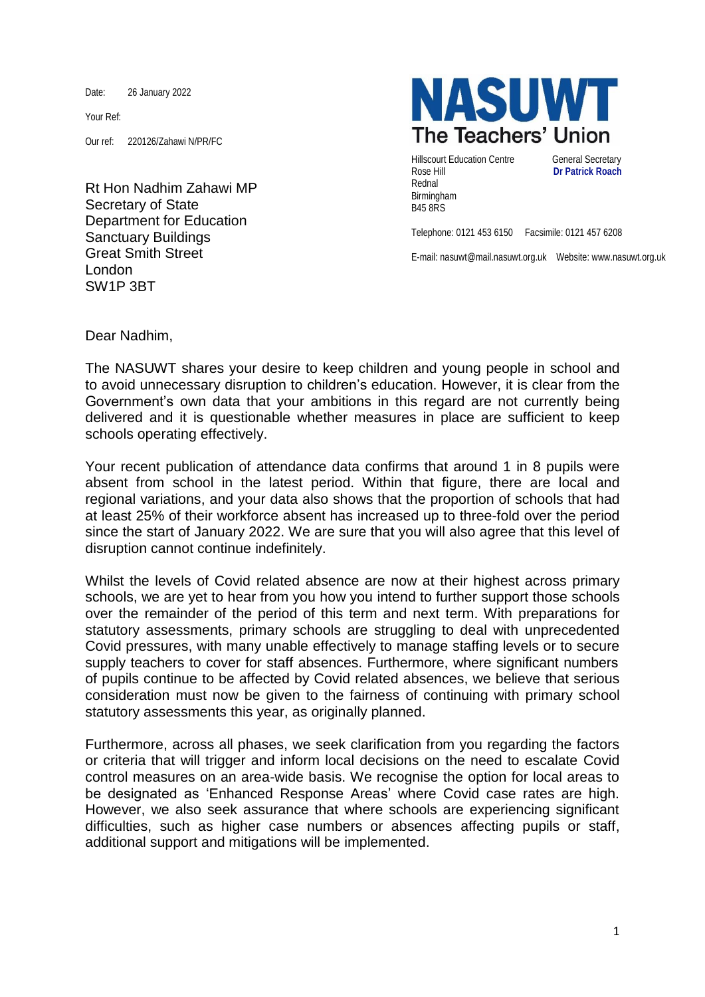Date: 26 January 2022

Your Ref:

Our ref: 220126/Zahawi N/PR/FC

Rt Hon Nadhim Zahawi MP Secretary of State Department for Education Sanctuary Buildings Great Smith Street London SW1P 3BT



Hillscourt Education Centre General Secretary Rose Hill **Dr Patrick Roach** Rednal Birmingham B45 8RS

Telephone: 0121 453 6150 Facsimile: 0121 457 6208

E-mail: nasuwt@mail.nasuwt.org.uk Website: www.nasuwt.org.uk

Dear Nadhim,

The NASUWT shares your desire to keep children and young people in school and to avoid unnecessary disruption to children's education. However, it is clear from the Government's own data that your ambitions in this regard are not currently being delivered and it is questionable whether measures in place are sufficient to keep schools operating effectively.

Your recent publication of attendance data confirms that around 1 in 8 pupils were absent from school in the latest period. Within that figure, there are local and regional variations, and your data also shows that the proportion of schools that had at least 25% of their workforce absent has increased up to three-fold over the period since the start of January 2022. We are sure that you will also agree that this level of disruption cannot continue indefinitely.

Whilst the levels of Covid related absence are now at their highest across primary schools, we are yet to hear from you how you intend to further support those schools over the remainder of the period of this term and next term. With preparations for statutory assessments, primary schools are struggling to deal with unprecedented Covid pressures, with many unable effectively to manage staffing levels or to secure supply teachers to cover for staff absences. Furthermore, where significant numbers of pupils continue to be affected by Covid related absences, we believe that serious consideration must now be given to the fairness of continuing with primary school statutory assessments this year, as originally planned.

Furthermore, across all phases, we seek clarification from you regarding the factors or criteria that will trigger and inform local decisions on the need to escalate Covid control measures on an area-wide basis. We recognise the option for local areas to be designated as 'Enhanced Response Areas' where Covid case rates are high. However, we also seek assurance that where schools are experiencing significant difficulties, such as higher case numbers or absences affecting pupils or staff, additional support and mitigations will be implemented.